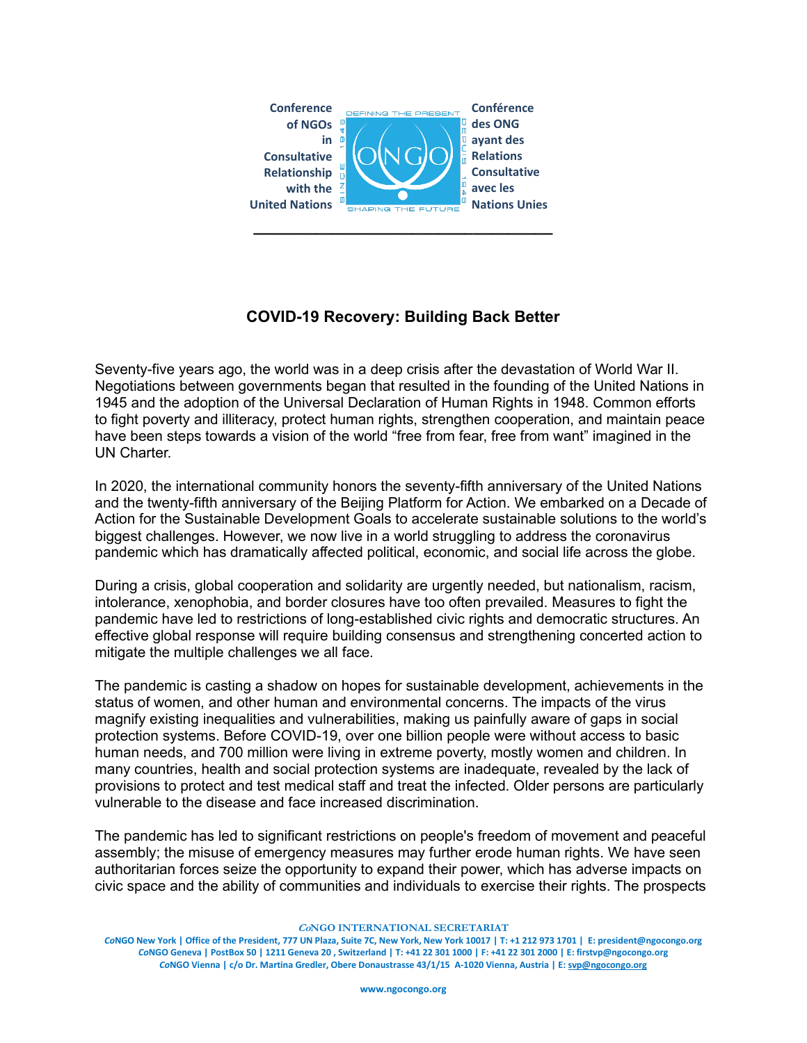

## **COVID-19 Recovery: Building Back Better**

Seventy-five years ago, the world was in a deep crisis after the devastation of World War II. Negotiations between governments began that resulted in the founding of the United Nations in 1945 and the adoption of the Universal Declaration of Human Rights in 1948. Common efforts to fight poverty and illiteracy, protect human rights, strengthen cooperation, and maintain peace have been steps towards a vision of the world "free from fear, free from want" imagined in the UN Charter

In 2020, the international community honors the seventy-fifth anniversary of the United Nations and the twenty-fifth anniversary of the Beijing Platform for Action. We embarked on a Decade of Action for the Sustainable Development Goals to accelerate sustainable solutions to the world's biggest challenges. However, we now live in a world struggling to address the coronavirus pandemic which has dramatically affected political, economic, and social life across the globe.

During a crisis, global cooperation and solidarity are urgently needed, but nationalism, racism, intolerance, xenophobia, and border closures have too often prevailed. Measures to fight the pandemic have led to restrictions of long-established civic rights and democratic structures. An effective global response will require building consensus and strengthening concerted action to mitigate the multiple challenges we all face.

The pandemic is casting a shadow on hopes for sustainable development, achievements in the status of women, and other human and environmental concerns. The impacts of the virus magnify existing inequalities and vulnerabilities, making us painfully aware of gaps in social protection systems. Before COVID-19, over one billion people were without access to basic human needs, and 700 million were living in extreme poverty, mostly women and children. In many countries, health and social protection systems are inadequate, revealed by the lack of provisions to protect and test medical staff and treat the infected. Older persons are particularly vulnerable to the disease and face increased discrimination.

The pandemic has led to significant restrictions on people's freedom of movement and peaceful assembly; the misuse of emergency measures may further erode human rights. We have seen authoritarian forces seize the opportunity to expand their power, which has adverse impacts on civic space and the ability of communities and individuals to exercise their rights. The prospects

**CoNGO INTERNATIONAL SECRETARIAT**

*Co***NGO New York | Office of the President, 777 UN Plaza, Suite 7C, New York, New York 10017 | T: +1 212 973 1701 | E: president@ngocongo.org** *Co***NGO Geneva | PostBox 50 | 1211 Geneva 20 , Switzerland | T: +41 22 301 1000 | F: +41 22 301 2000 | E[: firstvp@ngocongo.org](mailto:firstvp@ngocongo.org)** *Co***NGO Vienna | c/o Dr. Martina Gredler, Obere Donaustrasse 43/1/15 A-1020 Vienna, Austria | E[: svp@ngocongo.org](mailto:svp@ngocongo.org)**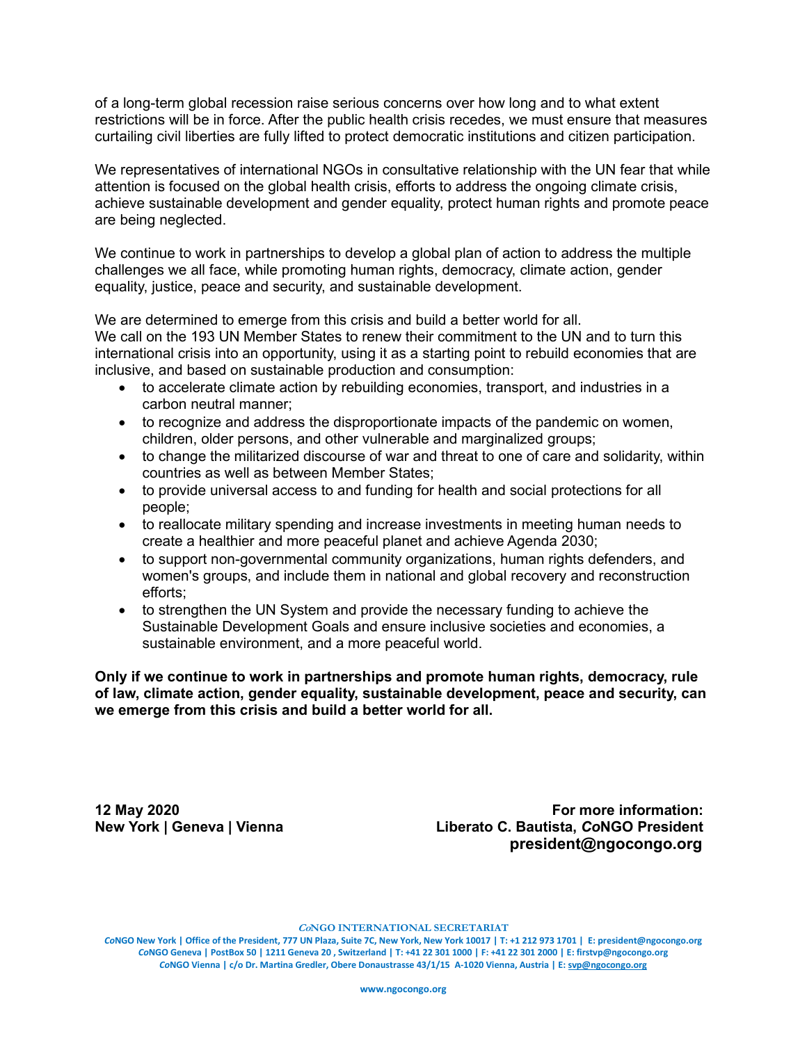of a long-term global recession raise serious concerns over how long and to what extent restrictions will be in force. After the public health crisis recedes, we must ensure that measures curtailing civil liberties are fully lifted to protect democratic institutions and citizen participation.

We representatives of international NGOs in consultative relationship with the UN fear that while attention is focused on the global health crisis, efforts to address the ongoing climate crisis, achieve sustainable development and gender equality, protect human rights and promote peace are being neglected.

We continue to work in partnerships to develop a global plan of action to address the multiple challenges we all face, while promoting human rights, democracy, climate action, gender equality, justice, peace and security, and sustainable development.

We are determined to emerge from this crisis and build a better world for all.

We call on the 193 UN Member States to renew their commitment to the UN and to turn this international crisis into an opportunity, using it as a starting point to rebuild economies that are inclusive, and based on sustainable production and consumption:

- to accelerate climate action by rebuilding economies, transport, and industries in a carbon neutral manner;
- to recognize and address the disproportionate impacts of the pandemic on women, children, older persons, and other vulnerable and marginalized groups;
- to change the militarized discourse of war and threat to one of care and solidarity, within countries as well as between Member States;
- to provide universal access to and funding for health and social protections for all people;
- to reallocate military spending and increase investments in meeting human needs to create a healthier and more peaceful planet and achieve Agenda 2030;
- to support non-governmental community organizations, human rights defenders, and women's groups, and include them in national and global recovery and reconstruction efforts;
- to strengthen the UN System and provide the necessary funding to achieve the Sustainable Development Goals and ensure inclusive societies and economies, a sustainable environment, and a more peaceful world.

**Only if we continue to work in partnerships and promote human rights, democracy, rule of law, climate action, gender equality, sustainable development, peace and security, can we emerge from this crisis and build a better world for all.**

**12 May 2020 For more information: New York | Geneva | Vienna Liberato C. Bautista,** *Co***NGO President president@ngocongo.org**

**CoNGO INTERNATIONAL SECRETARIAT**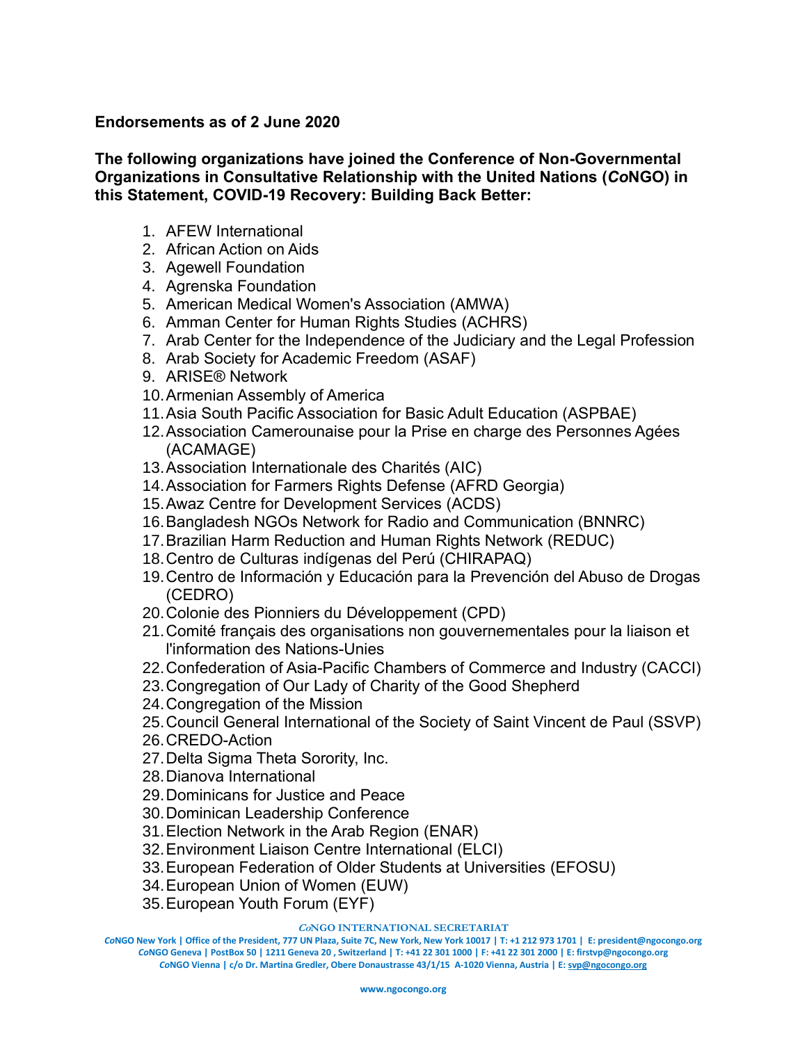## **Endorsements as of 2 June 2020**

**The following organizations have joined the Conference of Non-Governmental Organizations in Consultative Relationship with the United Nations (***Co***NGO) in this Statement, COVID-19 Recovery: Building Back Better:**

- 1. AFEW International
- 2. African Action on Aids
- 3. Agewell Foundation
- 4. Agrenska Foundation
- 5. American Medical Women's Association (AMWA)
- 6. Amman Center for Human Rights Studies (ACHRS)
- 7. Arab Center for the Independence of the Judiciary and the Legal Profession
- 8. Arab Society for Academic Freedom (ASAF)
- 9. ARISE® Network
- 10.Armenian Assembly of America
- 11.Asia South Pacific Association for Basic Adult Education (ASPBAE)
- 12.Association Camerounaise pour la Prise en charge des Personnes Agées (ACAMAGE)
- 13.Association Internationale des Charités (AIC)
- 14.Association for Farmers Rights Defense (AFRD Georgia)
- 15.Awaz Centre for Development Services (ACDS)
- 16.Bangladesh NGOs Network for Radio and Communication (BNNRC)
- 17.Brazilian Harm Reduction and Human Rights Network (REDUC)
- 18.Centro de Culturas indígenas del Perú (CHIRAPAQ)
- 19.Centro de Información y Educación para la Prevención del Abuso de Drogas (CEDRO)
- 20.Colonie des Pionniers du Développement (CPD)
- 21.Comité français des organisations non gouvernementales pour la liaison et l'information des Nations-Unies
- 22.Confederation of Asia-Pacific Chambers of Commerce and Industry (CACCI)
- 23.Congregation of Our Lady of Charity of the Good Shepherd
- 24.Congregation of the Mission
- 25.Council General International of the Society of Saint Vincent de Paul (SSVP)
- 26.CREDO-Action
- 27.Delta Sigma Theta Sorority, Inc.
- 28.Dianova International
- 29.Dominicans for Justice and Peace
- 30.Dominican Leadership Conference
- 31.Election Network in the Arab Region (ENAR)
- 32.Environment Liaison Centre International (ELCI)
- 33.European Federation of Older Students at Universities (EFOSU)
- 34.European Union of Women (EUW)
- 35.European Youth Forum (EYF)

## **CoNGO INTERNATIONAL SECRETARIAT**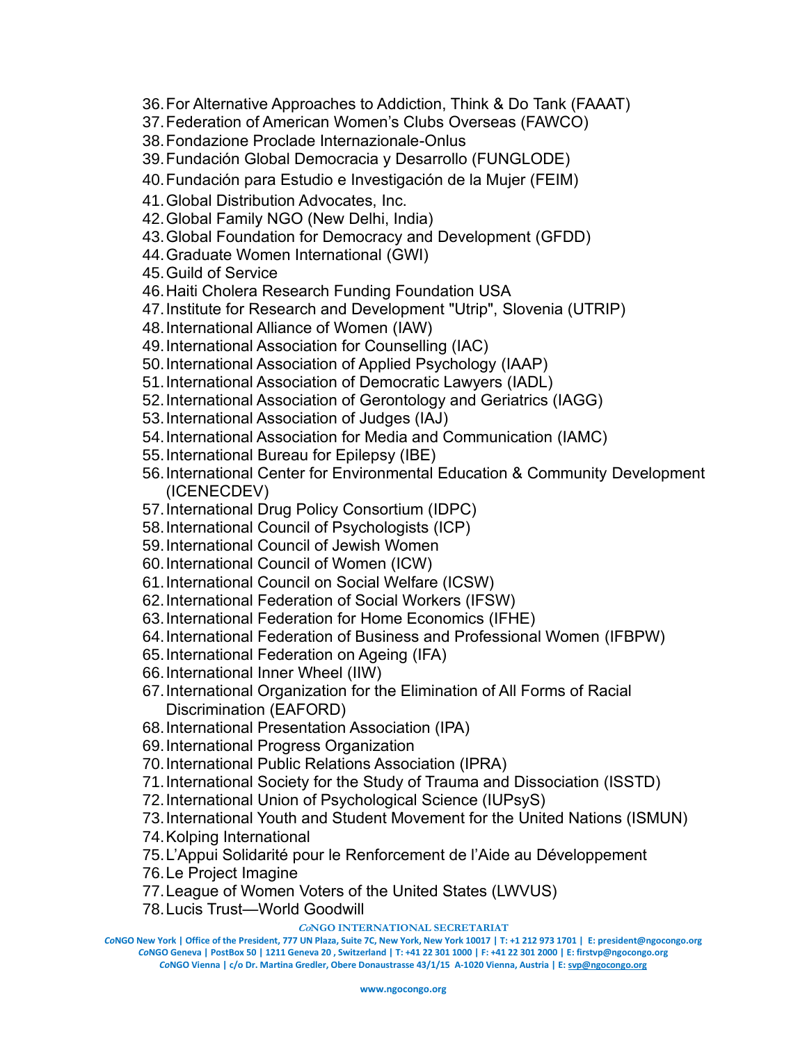- 36.For Alternative Approaches to Addiction, Think & Do Tank (FAAAT)
- 37.Federation of American Women's Clubs Overseas (FAWCO)
- 38.Fondazione Proclade Internazionale-Onlus
- 39.Fundación Global Democracia y Desarrollo (FUNGLODE)
- 40.Fundación para Estudio e Investigación de la Mujer (FEIM)
- 41.Global Distribution Advocates, Inc.
- 42.Global Family NGO (New Delhi, India)
- 43.Global Foundation for Democracy and Development (GFDD)
- 44.Graduate Women International (GWI)
- 45.Guild of Service
- 46.Haiti Cholera Research Funding Foundation USA
- 47.Institute for Research and Development "Utrip", Slovenia (UTRIP)
- 48.International Alliance of Women (IAW)
- 49.International Association for Counselling (IAC)
- 50.International Association of Applied Psychology (IAAP)
- 51.International Association of Democratic Lawyers (IADL)
- 52.International Association of Gerontology and Geriatrics (IAGG)
- 53.International Association of Judges (IAJ)
- 54.International Association for Media and Communication (IAMC)
- 55.International Bureau for Epilepsy (IBE)
- 56.International Center for Environmental Education & Community Development (ICENECDEV)
- 57.International Drug Policy Consortium (IDPC)
- 58.International Council of Psychologists (ICP)
- 59.International Council of Jewish Women
- 60.International Council of Women (ICW)
- 61.International Council on Social Welfare (ICSW)
- 62.International Federation of Social Workers (IFSW)
- 63.International Federation for Home Economics (IFHE)
- 64.International Federation of Business and Professional Women (IFBPW)
- 65.International Federation on Ageing (IFA)
- 66.International Inner Wheel (IIW)
- 67.International Organization for the Elimination of All Forms of Racial Discrimination (EAFORD)
- 68.International Presentation Association (IPA)
- 69.International Progress Organization
- 70.International Public Relations Association (IPRA)
- 71.International Society for the Study of Trauma and Dissociation (ISSTD)
- 72.International Union of Psychological Science (IUPsyS)
- 73.International Youth and Student Movement for the United Nations (ISMUN)
- 74.Kolping International
- 75.L'Appui Solidarité pour le Renforcement de l'Aide au Développement
- 76.Le Project Imagine
- 77.League of Women Voters of the United States (LWVUS)
- 78.Lucis Trust—World Goodwill

## **CoNGO INTERNATIONAL SECRETARIAT**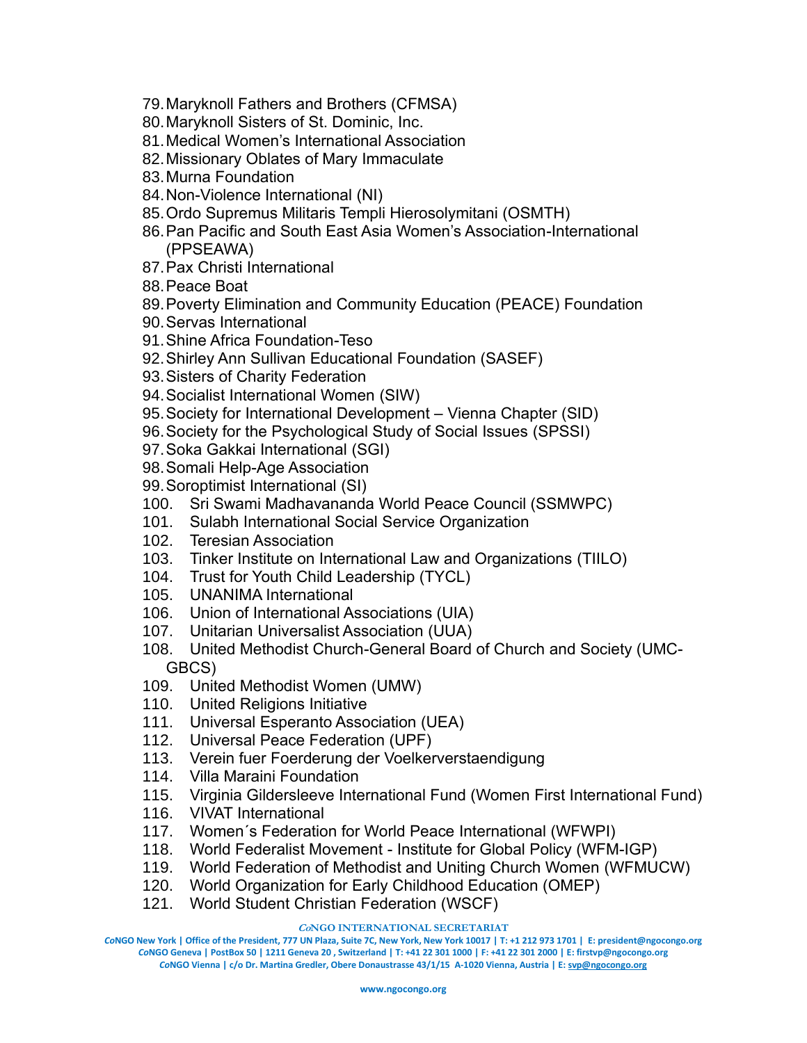- 79.Maryknoll Fathers and Brothers (CFMSA)
- 80.Maryknoll Sisters of St. Dominic, Inc.
- 81.Medical Women's International Association
- 82.Missionary Oblates of Mary Immaculate
- 83.Murna Foundation
- 84.Non-Violence International (NI)
- 85.Ordo Supremus Militaris Templi Hierosolymitani (OSMTH)
- 86.Pan Pacific and South East Asia Women's Association-International (PPSEAWA)
- 87.Pax Christi International
- 88.Peace Boat
- 89.Poverty Elimination and Community Education (PEACE) Foundation
- 90.Servas International
- 91.Shine Africa Foundation-Teso
- 92.Shirley Ann Sullivan Educational Foundation (SASEF)
- 93.Sisters of Charity Federation
- 94.Socialist International Women (SIW)
- 95.Society for International Development Vienna Chapter (SID)
- 96.Society for the Psychological Study of Social Issues (SPSSI)
- 97.Soka Gakkai International (SGI)
- 98.Somali Help-Age Association
- 99.Soroptimist International (SI)
- 100. Sri Swami Madhavananda World Peace Council (SSMWPC)
- 101. Sulabh International Social Service Organization
- 102. Teresian Association
- 103. Tinker Institute on International Law and Organizations (TIILO)
- 104. Trust for Youth Child Leadership (TYCL)
- 105. UNANIMA International
- 106. Union of International Associations (UIA)
- 107. Unitarian Universalist Association (UUA)
- 108. United Methodist Church-General Board of Church and Society (UMC-GBCS)
- 109. United Methodist Women (UMW)
- 110. United Religions Initiative
- 111. Universal Esperanto Association (UEA)
- 112. Universal Peace Federation (UPF)
- 113. Verein fuer Foerderung der Voelkerverstaendigung
- 114. Villa Maraini Foundation
- 115. Virginia Gildersleeve International Fund (Women First International Fund)
- 116. VIVAT International
- 117. Women´s Federation for World Peace International (WFWPI)
- 118. World Federalist Movement Institute for Global Policy (WFM-IGP)
- 119. World Federation of Methodist and Uniting Church Women (WFMUCW)
- 120. World Organization for Early Childhood Education (OMEP)
- 121. World Student Christian Federation (WSCF)

**CoNGO INTERNATIONAL SECRETARIAT**